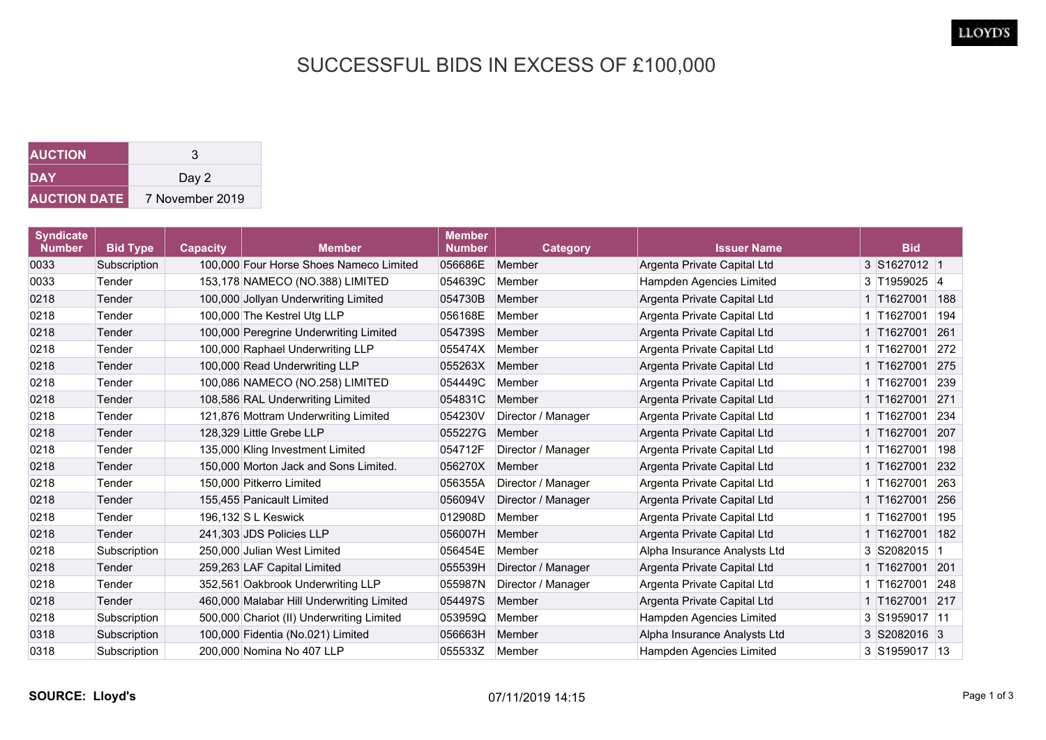## SUCCESSFUL BIDS IN EXCESS OF £100,000

| <b>AUCTION</b>      | 3               |
|---------------------|-----------------|
| DAY                 | Day 2           |
| <b>AUCTION DATE</b> | 7 November 2019 |

| <b>Syndicate</b><br><b>Number</b> | <b>Bid Type</b> | <b>Capacity</b> | <b>Member</b>                             | <b>Member</b><br><b>Number</b> | <b>Category</b>    | <b>Issuer Name</b>           | <b>Bid</b>     |     |
|-----------------------------------|-----------------|-----------------|-------------------------------------------|--------------------------------|--------------------|------------------------------|----------------|-----|
| 0033                              | Subscription    |                 | 100,000 Four Horse Shoes Nameco Limited   | 056686E                        | Member             | Argenta Private Capital Ltd  | 3 S1627012 1   |     |
| 0033                              | Tender          |                 | 153,178 NAMECO (NO.388) LIMITED           | 054639C                        | Member             | Hampden Agencies Limited     | 3 T1959025 4   |     |
| 0218                              | Tender          |                 | 100,000 Jollyan Underwriting Limited      | 054730B                        | Member             | Argenta Private Capital Ltd  | 1 T1627001     | 188 |
| 0218                              | Tender          |                 | 100,000 The Kestrel Utg LLP               | 056168E                        | Member             | Argenta Private Capital Ltd  | 1 T1627001     | 194 |
| 0218                              | Tender          |                 | 100,000 Peregrine Underwriting Limited    | 054739S                        | Member             | Argenta Private Capital Ltd  | 1 T1627001     | 261 |
| 0218                              | Tender          |                 | 100,000 Raphael Underwriting LLP          | 055474X                        | Member             | Argenta Private Capital Ltd  | 1 T1627001     | 272 |
| 0218                              | Tender          |                 | 100,000 Read Underwriting LLP             | 055263X                        | Member             | Argenta Private Capital Ltd  | 1 T1627001     | 275 |
| 0218                              | Tender          |                 | 100,086 NAMECO (NO.258) LIMITED           | 054449C                        | Member             | Argenta Private Capital Ltd  | 1 T1627001     | 239 |
| 0218                              | Tender          |                 | 108,586 RAL Underwriting Limited          | 054831C                        | Member             | Argenta Private Capital Ltd  | 1 T1627001     | 271 |
| 0218                              | Tender          |                 | 121,876 Mottram Underwriting Limited      | 054230V                        | Director / Manager | Argenta Private Capital Ltd  | 1 T1627001     | 234 |
| 0218                              | Tender          |                 | 128.329 Little Grebe LLP                  | 055227G                        | Member             | Argenta Private Capital Ltd  | 1 T1627001     | 207 |
| 0218                              | Tender          |                 | 135,000 Kling Investment Limited          | 054712F                        | Director / Manager | Argenta Private Capital Ltd  | 1 T1627001     | 198 |
| 0218                              | Tender          |                 | 150,000 Morton Jack and Sons Limited.     | 056270X                        | Member             | Argenta Private Capital Ltd  | 1 T1627001     | 232 |
| 0218                              | Tender          |                 | 150,000 Pitkerro Limited                  | 056355A                        | Director / Manager | Argenta Private Capital Ltd  | 1 T1627001     | 263 |
| 0218                              | Tender          |                 | 155,455 Panicault Limited                 | 056094V                        | Director / Manager | Argenta Private Capital Ltd  | 1 T1627001     | 256 |
| 0218                              | Tender          |                 | 196.132 S L Keswick                       | 012908D                        | Member             | Argenta Private Capital Ltd  | 1 T1627001     | 195 |
| 0218                              | Tender          |                 | 241,303 JDS Policies LLP                  | 056007H                        | Member             | Argenta Private Capital Ltd  | 1 T1627001 182 |     |
| 0218                              | Subscription    |                 | 250,000 Julian West Limited               | 056454E                        | Member             | Alpha Insurance Analysts Ltd | 3 S2082015 1   |     |
| 0218                              | Tender          |                 | 259,263 LAF Capital Limited               | 055539H                        | Director / Manager | Argenta Private Capital Ltd  | 1 T1627001 201 |     |
| 0218                              | Tender          |                 | 352,561 Oakbrook Underwriting LLP         | 055987N                        | Director / Manager | Argenta Private Capital Ltd  | 1 T1627001     | 248 |
| 0218                              | Tender          |                 | 460,000 Malabar Hill Underwriting Limited | 054497S                        | Member             | Argenta Private Capital Ltd  | 1 T1627001     | 217 |
| 0218                              | Subscription    |                 | 500,000 Chariot (II) Underwriting Limited | 053959Q                        | Member             | Hampden Agencies Limited     | 3 S1959017 11  |     |
| 0318                              | Subscription    |                 | 100,000 Fidentia (No.021) Limited         | 056663H                        | Member             | Alpha Insurance Analysts Ltd | 3 S2082016 3   |     |
| 0318                              | Subscription    |                 | 200,000 Nomina No 407 LLP                 | 055533Z                        | Member             | Hampden Agencies Limited     | 3 S1959017 13  |     |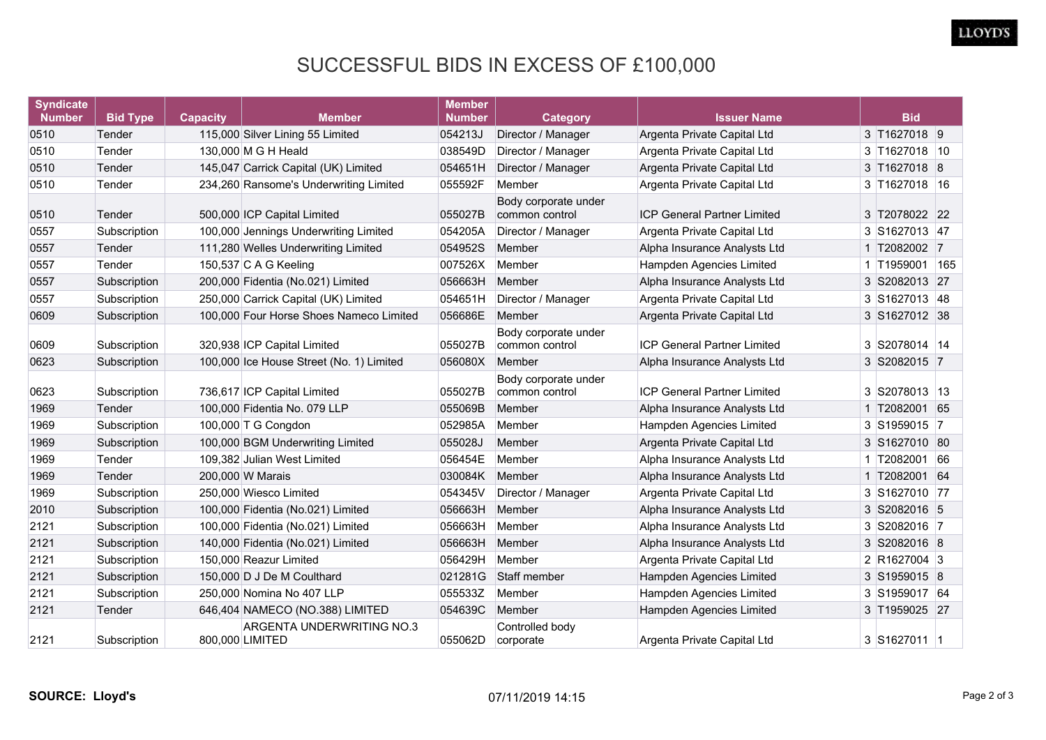## SUCCESSFUL BIDS IN EXCESS OF £100,000

| <b>Syndicate</b><br><b>Number</b> | <b>Bid Type</b> | <b>Capacity</b> | <b>Member</b>                                | <b>Member</b><br><b>Number</b> | <b>Category</b>                        | <b>Issuer Name</b>                 | <b>Bid</b>     |  |
|-----------------------------------|-----------------|-----------------|----------------------------------------------|--------------------------------|----------------------------------------|------------------------------------|----------------|--|
| 0510                              | Tender          |                 | 115,000 Silver Lining 55 Limited             | 054213J                        | Director / Manager                     | Argenta Private Capital Ltd        | 3 T1627018 9   |  |
| 0510                              | Tender          |                 | 130,000 M G H Heald                          | 038549D                        | Director / Manager                     | Argenta Private Capital Ltd        | 3 T1627018 10  |  |
| 0510                              | Tender          |                 | 145,047 Carrick Capital (UK) Limited         | 054651H                        | Director / Manager                     | Argenta Private Capital Ltd        | 3 T1627018 8   |  |
| 0510                              | Tender          |                 | 234,260 Ransome's Underwriting Limited       | 055592F                        | Member                                 | Argenta Private Capital Ltd        | 3 T1627018 16  |  |
| 0510                              | Tender          |                 | 500,000 ICP Capital Limited                  | 055027B                        | Body corporate under<br>common control | <b>ICP General Partner Limited</b> | 3 T2078022 22  |  |
| 0557                              | Subscription    |                 | 100,000 Jennings Underwriting Limited        | 054205A                        | Director / Manager                     | Argenta Private Capital Ltd        | 3 S1627013 47  |  |
| 0557                              | Tender          |                 | 111,280 Welles Underwriting Limited          | 054952S                        | Member                                 | Alpha Insurance Analysts Ltd       | 1 T2082002 7   |  |
| 0557                              | Tender          |                 | 150,537 C A G Keeling                        | 007526X                        | Member                                 | Hampden Agencies Limited           | 1 T1959001 165 |  |
| 0557                              | Subscription    |                 | 200,000 Fidentia (No.021) Limited            | 056663H                        | Member                                 | Alpha Insurance Analysts Ltd       | 3 S2082013 27  |  |
| 0557                              | Subscription    |                 | 250,000 Carrick Capital (UK) Limited         | 054651H                        | Director / Manager                     | Argenta Private Capital Ltd        | 3 S1627013 48  |  |
| 0609                              | Subscription    |                 | 100,000 Four Horse Shoes Nameco Limited      | 056686E                        | Member                                 | Argenta Private Capital Ltd        | 3 S1627012 38  |  |
| 0609                              | Subscription    |                 | 320,938 ICP Capital Limited                  | 055027B                        | Body corporate under<br>common control | <b>ICP General Partner Limited</b> | 3 S2078014 14  |  |
| 0623                              | Subscription    |                 | 100,000 Ice House Street (No. 1) Limited     | 056080X                        | Member                                 | Alpha Insurance Analysts Ltd       | 3 S2082015 7   |  |
| 0623                              | Subscription    |                 | 736,617 ICP Capital Limited                  | 055027B                        | Body corporate under<br>common control | <b>ICP General Partner Limited</b> | 3 S2078013 13  |  |
| 1969                              | Tender          |                 | 100,000 Fidentia No. 079 LLP                 | 055069B                        | Member                                 | Alpha Insurance Analysts Ltd       | 1 T2082001 65  |  |
| 1969                              | Subscription    |                 | 100,000 T G Congdon                          | 052985A                        | Member                                 | Hampden Agencies Limited           | 3 S1959015 7   |  |
| 1969                              | Subscription    |                 | 100,000 BGM Underwriting Limited             | 055028J                        | Member                                 | Argenta Private Capital Ltd        | 3 S1627010 80  |  |
| 1969                              | Tender          |                 | 109,382 Julian West Limited                  | 056454E                        | Member                                 | Alpha Insurance Analysts Ltd       | 1 T2082001 66  |  |
| 1969                              | Tender          |                 | 200,000 W Marais                             | 030084K                        | Member                                 | Alpha Insurance Analysts Ltd       | 1 T2082001 64  |  |
| 1969                              | Subscription    |                 | 250,000 Wiesco Limited                       | 054345V                        | Director / Manager                     | Argenta Private Capital Ltd        | 3 S1627010 77  |  |
| 2010                              | Subscription    |                 | 100,000 Fidentia (No.021) Limited            | 056663H                        | Member                                 | Alpha Insurance Analysts Ltd       | 3 S2082016 5   |  |
| 2121                              | Subscription    |                 | 100,000 Fidentia (No.021) Limited            | 056663H                        | Member                                 | Alpha Insurance Analysts Ltd       | 3 S2082016 7   |  |
| 2121                              | Subscription    |                 | 140,000 Fidentia (No.021) Limited            | 056663H                        | Member                                 | Alpha Insurance Analysts Ltd       | 3 S2082016 8   |  |
| 2121                              | Subscription    |                 | 150,000 Reazur Limited                       | 056429H                        | Member                                 | Argenta Private Capital Ltd        | 2 R1627004 3   |  |
| 2121                              | Subscription    |                 | 150,000 D J De M Coulthard                   | 021281G                        | Staff member                           | Hampden Agencies Limited           | 3 S1959015 8   |  |
| 2121                              | Subscription    |                 | 250,000 Nomina No 407 LLP                    | 055533Z                        | Member                                 | Hampden Agencies Limited           | 3 S1959017 64  |  |
| 2121                              | Tender          |                 | 646,404 NAMECO (NO.388) LIMITED              | 054639C                        | Member                                 | Hampden Agencies Limited           | 3 T1959025 27  |  |
| 2121                              | Subscription    |                 | ARGENTA UNDERWRITING NO.3<br>800,000 LIMITED | 055062D                        | Controlled body<br>corporate           | Argenta Private Capital Ltd        | 3 S1627011 1   |  |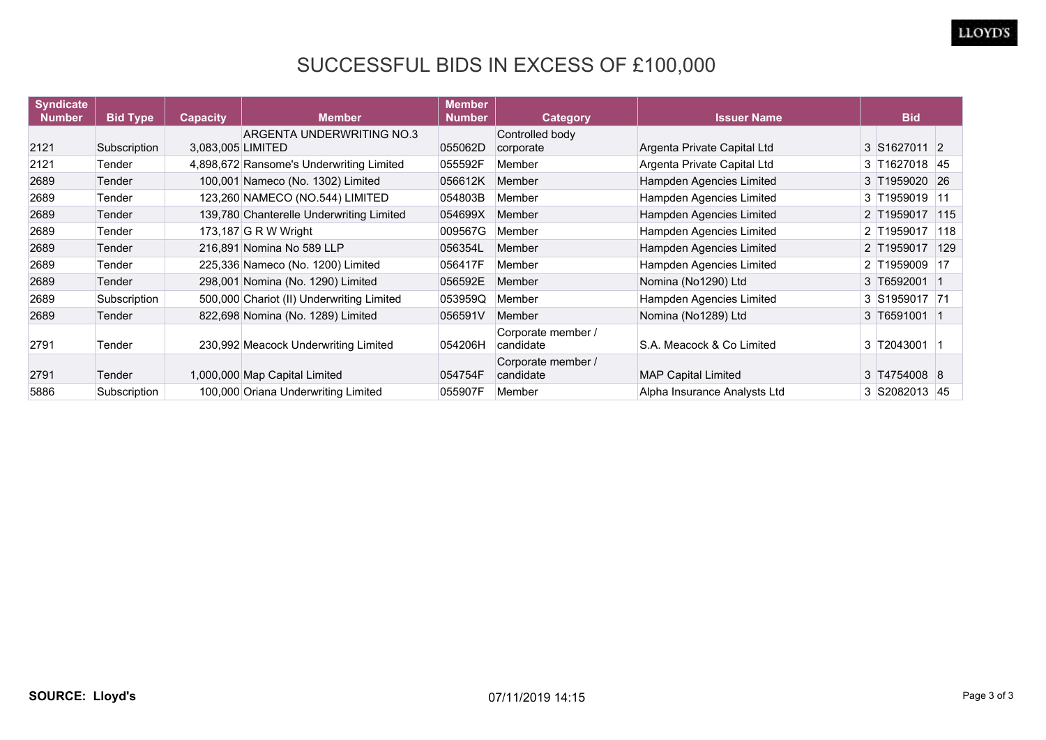## SUCCESSFUL BIDS IN EXCESS OF £100,000

| <b>Syndicate</b> |                 |                   | <b>Member</b>                             | <b>Member</b><br><b>Number</b> |                                 | <b>Issuer Name</b>           | <b>Bid</b>    |               |
|------------------|-----------------|-------------------|-------------------------------------------|--------------------------------|---------------------------------|------------------------------|---------------|---------------|
| <b>Number</b>    | <b>Bid Type</b> | <b>Capacity</b>   |                                           |                                | <b>Category</b>                 |                              |               |               |
| 2121             | Subscription    | 3,083,005 LIMITED | ARGENTA UNDERWRITING NO.3                 | 055062D                        | Controlled body<br>corporate    | Argenta Private Capital Ltd  | 3 S1627011 2  |               |
| 2121             | Tender          |                   | 4,898,672 Ransome's Underwriting Limited  | 055592F                        | Member                          | Argenta Private Capital Ltd  | 3 T1627018 45 |               |
| 2689             | Tender          |                   | 100,001 Nameco (No. 1302) Limited         | 056612K                        | Member                          | Hampden Agencies Limited     | 3 T1959020 26 |               |
| 2689             | Tender          |                   | 123,260 NAMECO (NO.544) LIMITED           | 054803B                        | Member                          | Hampden Agencies Limited     | 3 T1959019 11 |               |
| 2689             | Tender          |                   | 139,780 Chanterelle Underwriting Limited  | 054699X                        | Member                          | Hampden Agencies Limited     | 2 T1959017    | 115           |
| 2689             | Tender          |                   | 173,187 G R W Wright                      | 009567G                        | Member                          | Hampden Agencies Limited     | 2 T1959017    | $ 118\rangle$ |
| 2689             | Tender          |                   | 216,891 Nomina No 589 LLP                 | 056354L                        | Member                          | Hampden Agencies Limited     | 2 T1959017    | 129           |
| 2689             | Tender          |                   | 225,336 Nameco (No. 1200) Limited         | 056417F                        | Member                          | Hampden Agencies Limited     | 2 T1959009 17 |               |
| 2689             | Tender          |                   | 298,001 Nomina (No. 1290) Limited         | 056592E                        | Member                          | Nomina (No1290) Ltd          | 3 T6592001 1  |               |
| 2689             | Subscription    |                   | 500,000 Chariot (II) Underwriting Limited | 053959Q                        | Member                          | Hampden Agencies Limited     | 3 S1959017 71 |               |
| 2689             | Tender          |                   | 822,698 Nomina (No. 1289) Limited         | 056591V                        | Member                          | Nomina (No1289) Ltd          | 3 T6591001 1  |               |
| 2791             | Tender          |                   | 230,992 Meacock Underwriting Limited      | 054206H                        | Corporate member /<br>candidate | S.A. Meacock & Co Limited    | 3 T2043001 1  |               |
| 2791             | Tender          |                   | 1,000,000 Map Capital Limited             | 054754F                        | Corporate member /<br>candidate | <b>MAP Capital Limited</b>   | 3 T4754008 8  |               |
| 5886             | Subscription    |                   | 100,000 Oriana Underwriting Limited       | 055907F                        | Member                          | Alpha Insurance Analysts Ltd | 3 S2082013 45 |               |